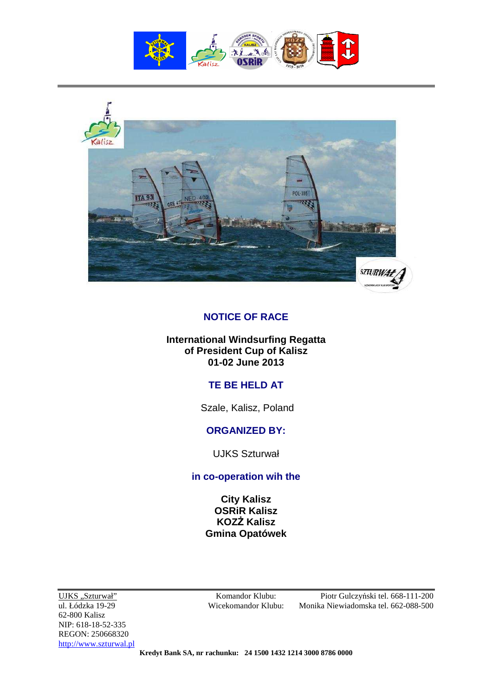



## **NOTICE OF RACE**

#### **International Windsurfing Regatta of President Cup of Kalisz 01-02 June 2013**

# **TE BE HELD AT**

Szale, Kalisz, Poland

### **ORGANIZED BY:**

UJKS Szturwał

## **in co-operation wih the**

**City Kalisz OSRiR Kalisz KOZŻ Kalisz Gmina Opatówek** 

62-800 Kalisz NIP: 618-18-52-335 REGON: 250668320 http://www.szturwal.pl

UJKS "Szturwał" Komandor Klubu: Piotr Gulczyński tel. 668-111-200 ul. Łódzka 19-29 Wicekomandor Klubu: Monika Niewiadomska tel. 662-088-500

**Kredyt Bank SA, nr rachunku: 24 1500 1432 1214 3000 8786 0000**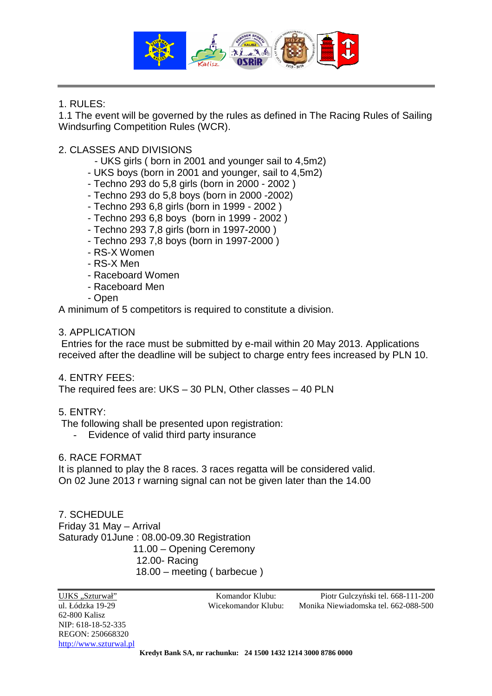

### 1. RULES:

1.1 The event will be governed by the rules as defined in The Racing Rules of Sailing Windsurfing Competition Rules (WCR).

### 2. CLASSES AND DIVISIONS

- UKS girls ( born in 2001 and younger sail to 4,5m2)
- UKS boys (born in 2001 and younger, sail to 4,5m2)
- Techno 293 do 5,8 girls (born in 2000 2002 )
- Techno 293 do 5,8 boys (born in 2000 -2002)
- Techno 293 6,8 girls (born in 1999 2002 )
- Techno 293 6,8 boys (born in 1999 2002 )
- Techno 293 7,8 girls (born in 1997-2000 )
- Techno 293 7,8 boys (born in 1997-2000 )
- RS-X Women
- RS-X Men
- Raceboard Women
- Raceboard Men
- Open

A minimum of 5 competitors is required to constitute a division.

#### 3. APPLICATION

 Entries for the race must be submitted by e-mail within 20 May 2013. Applications received after the deadline will be subject to charge entry fees increased by PLN 10.

#### 4. ENTRY FEES:

The required fees are: UKS – 30 PLN, Other classes – 40 PLN

#### 5. ENTRY:

The following shall be presented upon registration:

- Evidence of valid third party insurance

#### 6. RACE FORMAT

It is planned to play the 8 races. 3 races regatta will be considered valid. On 02 June 2013 r warning signal can not be given later than the 14.00

7. SCHEDULE Friday 31 May – Arrival Saturady 01June : 08.00-09.30 Registration 11.00 – Opening Ceremony 12.00- Racing 18.00 – meeting ( barbecue )

**Kredyt Bank SA, nr rachunku: 24 1500 1432 1214 3000 8786 0000**